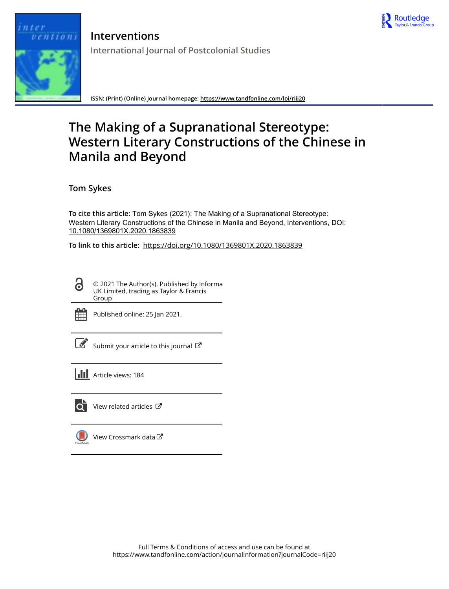

tions

**Interventions International Journal of Postcolonial Studies**

**ISSN: (Print) (Online) Journal homepage:<https://www.tandfonline.com/loi/riij20>**

# **The Making of a Supranational Stereotype: Western Literary Constructions of the Chinese in Manila and Beyond**

**Tom Sykes**

**To cite this article:** Tom Sykes (2021): The Making of a Supranational Stereotype: Western Literary Constructions of the Chinese in Manila and Beyond, Interventions, DOI: [10.1080/1369801X.2020.1863839](https://www.tandfonline.com/action/showCitFormats?doi=10.1080/1369801X.2020.1863839)

**To link to this article:** <https://doi.org/10.1080/1369801X.2020.1863839>

© 2021 The Author(s). Published by Informa UK Limited, trading as Taylor & Francis Group



 $\bullet$ 

Published online: 25 Jan 2021.

[Submit your article to this journal](https://www.tandfonline.com/action/authorSubmission?journalCode=riij20&show=instructions)  $\mathbb{Z}$ 

**III** Article views: 184



 $\overline{\mathbf{Q}}$  [View related articles](https://www.tandfonline.com/doi/mlt/10.1080/1369801X.2020.1863839)  $\mathbf{C}$ 

[View Crossmark data](http://crossmark.crossref.org/dialog/?doi=10.1080/1369801X.2020.1863839&domain=pdf&date_stamp=2021-01-25) $\bm{\mathcal{C}}$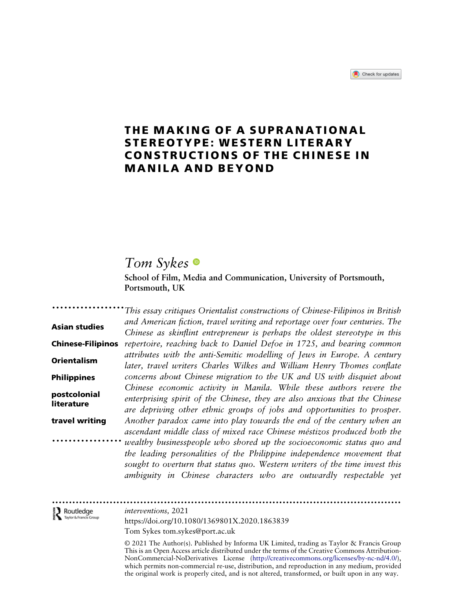### THE MAKING OF A SUPRANATIONAL STEREOTYPE: WESTERN LITERARY CONSTRUCTIONS OF THE CHINESE IN MANILA AND BEYOND

### Tom Sykes<sup>®</sup>

School of Film, Media and Communication, University of Portsmouth, Portsmouth, UK

.................. Asian studies **Chinese-Filipinos** repertoire, reaching back to Daniel Defoe in 1725, and bearing common Orientalism Philippines postcolonial literature travel writing ................. This essay critiques Orientalist constructions of Chinese-Filipinos in British and American fiction, travel writing and reportage over four centuries. The Chinese as skinflint entrepreneur is perhaps the oldest stereotype in this attributes with the anti-Semitic modelling of Jews in Europe. A century later, travel writers Charles Wilkes and William Henry Thomes conflate concerns about Chinese migration to the UK and US with disquiet about Chinese economic activity in Manila. While these authors revere the enterprising spirit of the Chinese, they are also anxious that the Chinese are depriving other ethnic groups of jobs and opportunities to prosper. Another paradox came into play towards the end of the century when an ascendant middle class of mixed race Chinese méstizos produced both the wealthy businesspeople who shored up the socioeconomic status quo and the leading personalities of the Philippine independence movement that sought to overturn that status quo. Western writers of the time invest this ambiguity in Chinese characters who are outwardly respectable yet

## [...............](http://www.tandfonline.com)........................................................................................ Routledge

interventions, 2021

https://doi.org/10.1080/1369801X.2020.1863839 Tom Sykes [tom.sykes@port.ac.uk](mailto:tom.sykes@port.ac.uk)

© 2021 The Author(s). Published by Informa UK Limited, trading as Taylor & Francis Group This is an Open Access article distributed under the terms of the Creative Commons Attribution-NonCommercial-NoDerivatives License ([http://creativecommons.org/licenses/by-nc-nd/4.0/\)](http://creativecommons.org/licenses/by-nc-nd/4.0/), which permits non-commercial re-use, distribution, and reproduction in any medium, provided the original work is properly cited, and is not altered, transformed, or built upon in any way.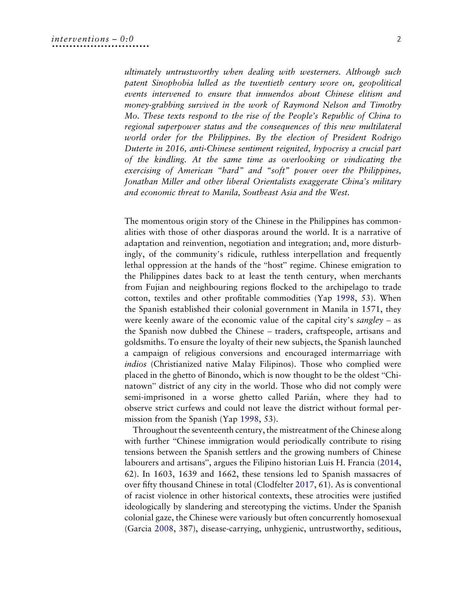ultimately untrustworthy when dealing with westerners. Although such patent Sinophobia lulled as the twentieth century wore on, geopolitical events intervened to ensure that innuendos about Chinese elitism and money-grabbing survived in the work of Raymond Nelson and Timothy Mo. These texts respond to the rise of the People's Republic of China to regional superpower status and the consequences of this new multilateral world order for the Philippines. By the election of President Rodrigo Duterte in 2016, anti-Chinese sentiment reignited, hypocrisy a crucial part of the kindling. At the same time as overlooking or vindicating the exercising of American "hard" and "soft" power over the Philippines, Jonathan Miller and other liberal Orientalists exaggerate China's military and economic threat to Manila, Southeast Asia and the West.

The momentous origin story of the Chinese in the Philippines has commonalities with those of other diasporas around the world. It is a narrative of adaptation and reinvention, negotiation and integration; and, more disturbingly, of the community's ridicule, ruthless interpellation and frequently lethal oppression at the hands of the "host" regime. Chinese emigration to the Philippines dates back to at least the tenth century, when merchants from Fujian and neighbouring regions flocked to the archipelago to trade cotton, textiles and other profitable commodities (Yap [1998,](#page-21-0) 53). When the Spanish established their colonial government in Manila in 1571, they were keenly aware of the economic value of the capital city's sangley – as the Spanish now dubbed the Chinese – traders, craftspeople, artisans and goldsmiths. To ensure the loyalty of their new subjects, the Spanish launched a campaign of religious conversions and encouraged intermarriage with indios (Christianized native Malay Filipinos). Those who complied were placed in the ghetto of Binondo, which is now thought to be the oldest "Chinatown" district of any city in the world. Those who did not comply were semi-imprisoned in a worse ghetto called Parián, where they had to observe strict curfews and could not leave the district without formal permission from the Spanish (Yap [1998](#page-21-0), 53).

<span id="page-2-3"></span><span id="page-2-2"></span><span id="page-2-1"></span><span id="page-2-0"></span>Throughout the seventeenth century, the mistreatment of the Chinese along with further "Chinese immigration would periodically contribute to rising tensions between the Spanish settlers and the growing numbers of Chinese labourers and artisans", argues the Filipino historian Luis H. Francia ([2014,](#page-20-0) 62). In 1603, 1639 and 1662, these tensions led to Spanish massacres of over fifty thousand Chinese in total (Clodfelter [2017,](#page-20-1) 61). As is conventional of racist violence in other historical contexts, these atrocities were justified ideologically by slandering and stereotyping the victims. Under the Spanish colonial gaze, the Chinese were variously but often concurrently homosexual (Garcia [2008](#page-20-2), 387), disease-carrying, unhygienic, untrustworthy, seditious,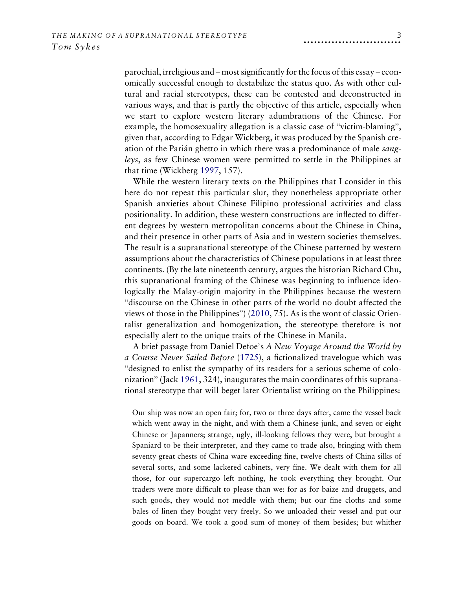parochial, irreligious and – most significantly for the focus of this essay – economically successful enough to destabilize the status quo. As with other cultural and racial stereotypes, these can be contested and deconstructed in various ways, and that is partly the objective of this article, especially when we start to explore western literary adumbrations of the Chinese. For example, the homosexuality allegation is a classic case of "victim-blaming", given that, according to Edgar Wickberg, it was produced by the Spanish creation of the Parián ghetto in which there was a predominance of male sangleys, as few Chinese women were permitted to settle in the Philippines at that time (Wickberg [1997,](#page-21-1) 157).

<span id="page-3-3"></span>While the western literary texts on the Philippines that I consider in this here do not repeat this particular slur, they nonetheless appropriate other Spanish anxieties about Chinese Filipino professional activities and class positionality. In addition, these western constructions are inflected to different degrees by western metropolitan concerns about the Chinese in China, and their presence in other parts of Asia and in western societies themselves. The result is a supranational stereotype of the Chinese patterned by western assumptions about the characteristics of Chinese populations in at least three continents. (By the late nineteenth century, argues the historian Richard Chu, this supranational framing of the Chinese was beginning to influence ideologically the Malay-origin majority in the Philippines because the western "discourse on the Chinese in other parts of the world no doubt affected the views of those in the Philippines") ([2010,](#page-20-3) 75). As is the wont of classic Orientalist generalization and homogenization, the stereotype therefore is not especially alert to the unique traits of the Chinese in Manila.

<span id="page-3-2"></span><span id="page-3-1"></span><span id="page-3-0"></span>A brief passage from Daniel Defoe's A New Voyage Around the World by a Course Never Sailed Before ([1725](#page-20-4)), a fictionalized travelogue which was "designed to enlist the sympathy of its readers for a serious scheme of colonization" (Jack [1961](#page-20-5), 324), inaugurates the main coordinates of this supranational stereotype that will beget later Orientalist writing on the Philippines:

Our ship was now an open fair; for, two or three days after, came the vessel back which went away in the night, and with them a Chinese junk, and seven or eight Chinese or Japanners; strange, ugly, ill-looking fellows they were, but brought a Spaniard to be their interpreter, and they came to trade also, bringing with them seventy great chests of China ware exceeding fine, twelve chests of China silks of several sorts, and some lackered cabinets, very fine. We dealt with them for all those, for our supercargo left nothing, he took everything they brought. Our traders were more difficult to please than we: for as for baize and druggets, and such goods, they would not meddle with them; but our fine cloths and some bales of linen they bought very freely. So we unloaded their vessel and put our goods on board. We took a good sum of money of them besides; but whither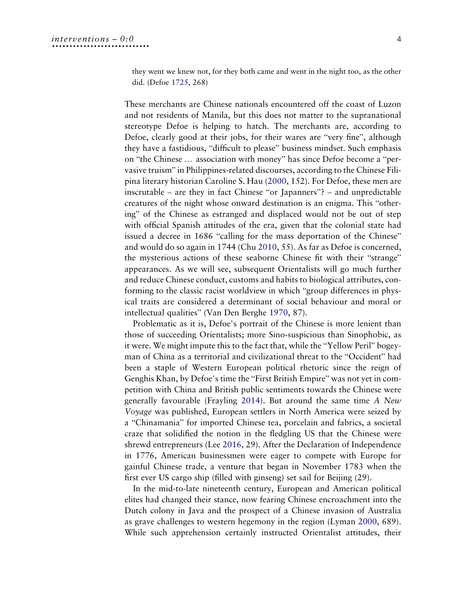they went we knew not, for they both came and went in the night too, as the other did. (Defoe [1725,](#page-20-4) 268)

<span id="page-4-1"></span>These merchants are Chinese nationals encountered off the coast of Luzon and not residents of Manila, but this does not matter to the supranational stereotype Defoe is helping to hatch. The merchants are, according to Defoe, clearly good at their jobs, for their wares are "very fine", although they have a fastidious, "difficult to please" business mindset. Such emphasis on "the Chinese … association with money" has since Defoe become a "pervasive truism" in Philippines-related discourses, according to the Chinese Filipina literary historian Caroline S. Hau ([2000,](#page-20-6) 152). For Defoe, these men are inscrutable – are they in fact Chinese "or Japanners"? – and unpredictable creatures of the night whose onward destination is an enigma. This "othering" of the Chinese as estranged and displaced would not be out of step with official Spanish attitudes of the era, given that the colonial state had issued a decree in 1686 "calling for the mass deportation of the Chinese" and would do so again in 1744 (Chu [2010,](#page-20-3) 55). As far as Defoe is concerned, the mysterious actions of these seaborne Chinese fit with their "strange" appearances. As we will see, subsequent Orientalists will go much further and reduce Chinese conduct, customs and habits to biological attributes, conforming to the classic racist worldview in which "group differences in physical traits are considered a determinant of social behaviour and moral or intellectual qualities" (Van Den Berghe 1970, 87).

<span id="page-4-0"></span>Problematic as it is, Defoe's portrait of the Chinese is more lenient than those of succeeding Orientalists; more Sino-suspicious than Sinophobic, as it were. We might impute this to the fact that, while the "Yellow Peril" bogeyman of China as a territorial and civilizational threat to the "Occident" had been a staple of Western European political rhetoric since the reign of Genghis Khan, by Defoe's time the "First British Empire" was not yet in competition with China and British public sentiments towards the Chinese were generally favourable (Frayling [2014\)](#page-20-7). But around the same time A New Voyage was published, European settlers in North America were seized by a "Chinamania" for imported Chinese tea, porcelain and fabrics, a societal craze that solidified the notion in the fledgling US that the Chinese were shrewd entrepreneurs (Lee [2016,](#page-21-2) 29). After the Declaration of Independence in 1776, American businessmen were eager to compete with Europe for gainful Chinese trade, a venture that began in November 1783 when the first ever US cargo ship (filled with ginseng) set sail for Beijing (29).

<span id="page-4-3"></span><span id="page-4-2"></span>In the mid-to-late nineteenth century, European and American political elites had changed their stance, now fearing Chinese encroachment into the Dutch colony in Java and the prospect of a Chinese invasion of Australia as grave challenges to western hegemony in the region (Lyman [2000,](#page-21-3) 689). While such apprehension certainly instructed Orientalist attitudes, their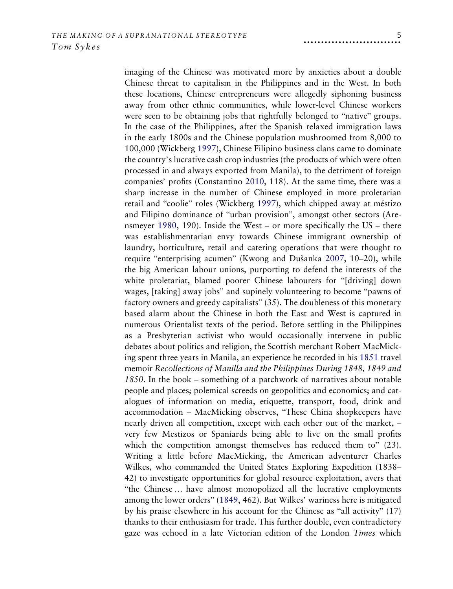<span id="page-5-4"></span><span id="page-5-3"></span><span id="page-5-2"></span><span id="page-5-1"></span><span id="page-5-0"></span>imaging of the Chinese was motivated more by anxieties about a double Chinese threat to capitalism in the Philippines and in the West. In both these locations, Chinese entrepreneurs were allegedly siphoning business away from other ethnic communities, while lower-level Chinese workers were seen to be obtaining jobs that rightfully belonged to "native" groups. In the case of the Philippines, after the Spanish relaxed immigration laws in the early 1800s and the Chinese population mushroomed from 8,000 to 100,000 (Wickberg [1997\)](#page-21-1), Chinese Filipino business clans came to dominate the country's lucrative cash crop industries (the products of which were often processed in and always exported from Manila), to the detriment of foreign companies' profits (Constantino [2010](#page-20-8), 118). At the same time, there was a sharp increase in the number of Chinese employed in more proletarian retail and "coolie" roles (Wickberg [1997](#page-21-1)), which chipped away at méstizo and Filipino dominance of "urban provision", amongst other sectors (Arensmeyer [1980,](#page-19-0) 190). Inside the West – or more specifically the US – there was establishmentarian envy towards Chinese immigrant ownership of laundry, horticulture, retail and catering operations that were thought to require "enterprising acumen" (Kwong and Dušanka [2007](#page-20-9), 10–20), while the big American labour unions, purporting to defend the interests of the white proletariat, blamed poorer Chinese labourers for "[driving] down wages, [taking] away jobs" and supinely volunteering to become "pawns of factory owners and greedy capitalists" (35). The doubleness of this monetary based alarm about the Chinese in both the East and West is captured in numerous Orientalist texts of the period. Before settling in the Philippines as a Presbyterian activist who would occasionally intervene in public debates about politics and religion, the Scottish merchant Robert MacMicking spent three years in Manila, an experience he recorded in his [1851](#page-21-4) travel memoir Recollections of Manilla and the Philippines During 1848, 1849 and 1850. In the book – something of a patchwork of narratives about notable people and places; polemical screeds on geopolitics and economics; and catalogues of information on media, etiquette, transport, food, drink and accommodation – MacMicking observes, "These China shopkeepers have nearly driven all competition, except with each other out of the market, – very few Mestizos or Spaniards being able to live on the small profits which the competition amongst themselves has reduced them to" (23). Writing a little before MacMicking, the American adventurer Charles Wilkes, who commanded the United States Exploring Expedition (1838– 42) to investigate opportunities for global resource exploitation, avers that "the Chinese … have almost monopolized all the lucrative employments among the lower orders" [\(1849,](#page-21-5) 462). But Wilkes' wariness here is mitigated by his praise elsewhere in his account for the Chinese as "all activity" (17) thanks to their enthusiasm for trade. This further double, even contradictory gaze was echoed in a late Victorian edition of the London Times which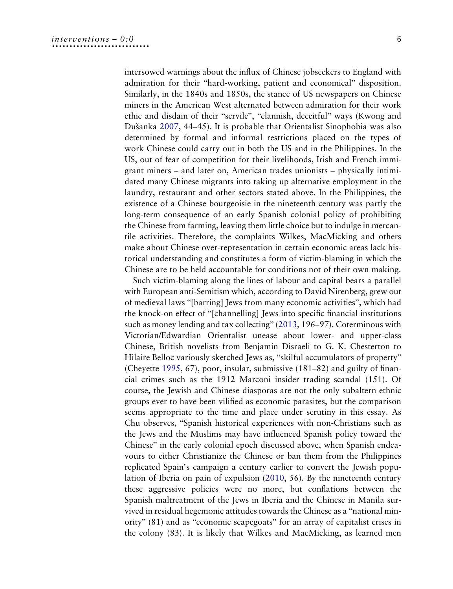intersowed warnings about the influx of Chinese jobseekers to England with admiration for their "hard-working, patient and economical" disposition. Similarly, in the 1840s and 1850s, the stance of US newspapers on Chinese miners in the American West alternated between admiration for their work ethic and disdain of their "servile", "clannish, deceitful" ways (Kwong and Dušanka [2007](#page-20-9), 44–45). It is probable that Orientalist Sinophobia was also determined by formal and informal restrictions placed on the types of work Chinese could carry out in both the US and in the Philippines. In the US, out of fear of competition for their livelihoods, Irish and French immigrant miners – and later on, American trades unionists – physically intimidated many Chinese migrants into taking up alternative employment in the laundry, restaurant and other sectors stated above. In the Philippines, the existence of a Chinese bourgeoisie in the nineteenth century was partly the long-term consequence of an early Spanish colonial policy of prohibiting the Chinese from farming, leaving them little choice but to indulge in mercantile activities. Therefore, the complaints Wilkes, MacMicking and others make about Chinese over-representation in certain economic areas lack historical understanding and constitutes a form of victim-blaming in which the Chinese are to be held accountable for conditions not of their own making.

<span id="page-6-1"></span><span id="page-6-0"></span>Such victim-blaming along the lines of labour and capital bears a parallel with European anti-Semitism which, according to David Nirenberg, grew out of medieval laws "[barring] Jews from many economic activities", which had the knock-on effect of "[channelling] Jews into specific financial institutions such as money lending and tax collecting" [\(2013](#page-21-6), 196–97). Coterminous with Victorian/Edwardian Orientalist unease about lower- and upper-class Chinese, British novelists from Benjamin Disraeli to G. K. Chesterton to Hilaire Belloc variously sketched Jews as, "skilful accumulators of property" (Cheyette [1995,](#page-20-10) 67), poor, insular, submissive (181–82) and guilty of financial crimes such as the 1912 Marconi insider trading scandal (151). Of course, the Jewish and Chinese diasporas are not the only subaltern ethnic groups ever to have been vilified as economic parasites, but the comparison seems appropriate to the time and place under scrutiny in this essay. As Chu observes, "Spanish historical experiences with non-Christians such as the Jews and the Muslims may have influenced Spanish policy toward the Chinese" in the early colonial epoch discussed above, when Spanish endeavours to either Christianize the Chinese or ban them from the Philippines replicated Spain's campaign a century earlier to convert the Jewish population of Iberia on pain of expulsion ([2010](#page-20-3), 56). By the nineteenth century these aggressive policies were no more, but conflations between the Spanish maltreatment of the Jews in Iberia and the Chinese in Manila survived in residual hegemonic attitudes towards the Chinese as a "national minority" (81) and as "economic scapegoats" for an array of capitalist crises in the colony (83). It is likely that Wilkes and MacMicking, as learned men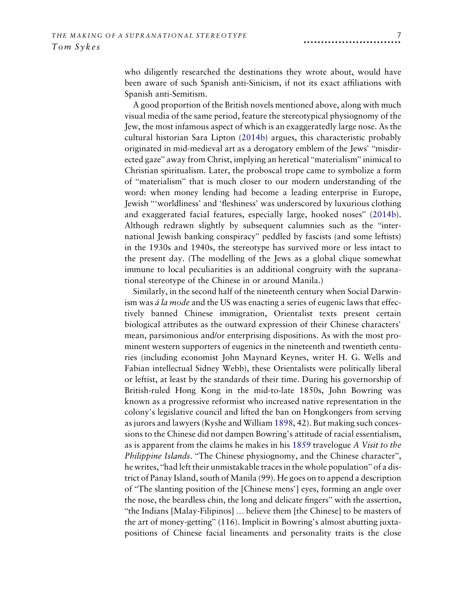who diligently researched the destinations they wrote about, would have been aware of such Spanish anti-Sinicism, if not its exact affiliations with Spanish anti-Semitism.

A good proportion of the British novels mentioned above, along with much visual media of the same period, feature the stereotypical physiognomy of the Jew, the most infamous aspect of which is an exaggeratedly large nose. As the cultural historian Sara Lipton ([2014b\)](#page-21-7) argues, this characteristic probably originated in mid-medieval art as a derogatory emblem of the Jews' "misdirected gaze" away from Christ, implying an heretical "materialism" inimical to Christian spiritualism. Later, the proboscal trope came to symbolize a form of "materialism" that is much closer to our modern understanding of the word: when money lending had become a leading enterprise in Europe, Jewish "'worldliness' and 'fleshiness' was underscored by luxurious clothing and exaggerated facial features, especially large, hooked noses" ([2014b\)](#page-21-7). Although redrawn slightly by subsequent calumnies such as the "international Jewish banking conspiracy" peddled by fascists (and some leftists) in the 1930s and 1940s, the stereotype has survived more or less intact to the present day. (The modelling of the Jews as a global clique somewhat immune to local peculiarities is an additional congruity with the supranational stereotype of the Chinese in or around Manila.)

<span id="page-7-2"></span><span id="page-7-1"></span><span id="page-7-0"></span>Similarly, in the second half of the nineteenth century when Social Darwinism was *á la mode* and the US was enacting a series of eugenic laws that effectively banned Chinese immigration, Orientalist texts present certain biological attributes as the outward expression of their Chinese characters' mean, parsimonious and/or enterprising dispositions. As with the most prominent western supporters of eugenics in the nineteenth and twentieth centuries (including economist John Maynard Keynes, writer H. G. Wells and Fabian intellectual Sidney Webb), these Orientalists were politically liberal or leftist, at least by the standards of their time. During his governorship of British-ruled Hong Kong in the mid-to-late 1850s, John Bowring was known as a progressive reformist who increased native representation in the colony's legislative council and lifted the ban on Hongkongers from serving as jurors and lawyers (Kyshe and William [1898,](#page-20-11) 42). But making such concessions to the Chinese did not dampen Bowring's attitude of racial essentialism, as is apparent from the claims he makes in his [1859](#page-19-1) travelogue A Visit to the Philippine Islands. "The Chinese physiognomy, and the Chinese character", he writes, "had left their unmistakable traces in the whole population" of a district of Panay Island, south of Manila (99). He goes on to append a description of "The slanting position of the [Chinese mens'] eyes, forming an angle over the nose, the beardless chin, the long and delicate fingers" with the assertion, "the Indians [Malay-Filipinos] … believe them [the Chinese] to be masters of the art of money-getting" (116). Implicit in Bowring's almost abutting juxtapositions of Chinese facial lineaments and personality traits is the close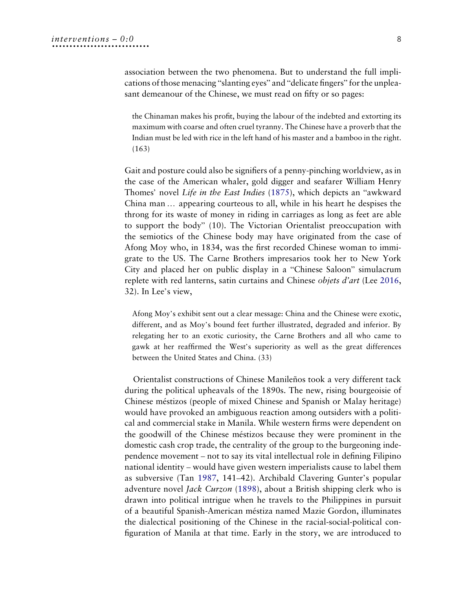association between the two phenomena. But to understand the full implications of those menacing "slanting eyes" and "delicate fingers" for the unpleasant demeanour of the Chinese, we must read on fifty or so pages:

the Chinaman makes his profit, buying the labour of the indebted and extorting its maximum with coarse and often cruel tyranny. The Chinese have a proverb that the Indian must be led with rice in the left hand of his master and a bamboo in the right. (163)

<span id="page-8-2"></span>Gait and posture could also be signifiers of a penny-pinching worldview, as in the case of the American whaler, gold digger and seafarer William Henry Thomes' novel Life in the East Indies [\(1875\)](#page-21-8), which depicts an "awkward China man … appearing courteous to all, while in his heart he despises the throng for its waste of money in riding in carriages as long as feet are able to support the body" (10). The Victorian Orientalist preoccupation with the semiotics of the Chinese body may have originated from the case of Afong Moy who, in 1834, was the first recorded Chinese woman to immigrate to the US. The Carne Brothers impresarios took her to New York City and placed her on public display in a "Chinese Saloon" simulacrum replete with red lanterns, satin curtains and Chinese objets d'art (Lee [2016](#page-21-2), 32). In Lee's view,

Afong Moy's exhibit sent out a clear message: China and the Chinese were exotic, different, and as Moy's bound feet further illustrated, degraded and inferior. By relegating her to an exotic curiosity, the Carne Brothers and all who came to gawk at her reaffirmed the West's superiority as well as the great differences between the United States and China. (33)

<span id="page-8-1"></span><span id="page-8-0"></span>Orientalist constructions of Chinese Manileños took a very different tack during the political upheavals of the 1890s. The new, rising bourgeoisie of Chinese méstizos (people of mixed Chinese and Spanish or Malay heritage) would have provoked an ambiguous reaction among outsiders with a political and commercial stake in Manila. While western firms were dependent on the goodwill of the Chinese méstizos because they were prominent in the domestic cash crop trade, the centrality of the group to the burgeoning independence movement – not to say its vital intellectual role in defining Filipino national identity – would have given western imperialists cause to label them as subversive (Tan [1987](#page-21-9), 141–42). Archibald Clavering Gunter's popular adventure novel Jack Curzon [\(1898\)](#page-20-12), about a British shipping clerk who is drawn into political intrigue when he travels to the Philippines in pursuit of a beautiful Spanish-American méstiza named Mazie Gordon, illuminates the dialectical positioning of the Chinese in the racial-social-political configuration of Manila at that time. Early in the story, we are introduced to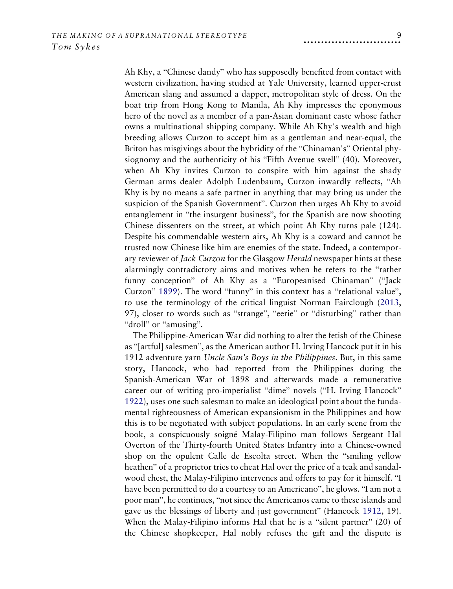Ah Khy, a "Chinese dandy" who has supposedly benefited from contact with western civilization, having studied at Yale University, learned upper-crust American slang and assumed a dapper, metropolitan style of dress. On the boat trip from Hong Kong to Manila, Ah Khy impresses the eponymous hero of the novel as a member of a pan-Asian dominant caste whose father owns a multinational shipping company. While Ah Khy's wealth and high breeding allows Curzon to accept him as a gentleman and near-equal, the Briton has misgivings about the hybridity of the "Chinaman's" Oriental physiognomy and the authenticity of his "Fifth Avenue swell" (40). Moreover, when Ah Khy invites Curzon to conspire with him against the shady German arms dealer Adolph Ludenbaum, Curzon inwardly reflects, "Ah Khy is by no means a safe partner in anything that may bring us under the suspicion of the Spanish Government". Curzon then urges Ah Khy to avoid entanglement in "the insurgent business", for the Spanish are now shooting Chinese dissenters on the street, at which point Ah Khy turns pale (124). Despite his commendable western airs, Ah Khy is a coward and cannot be trusted now Chinese like him are enemies of the state. Indeed, a contemporary reviewer of *Jack Curzon* for the Glasgow *Herald* newspaper hints at these alarmingly contradictory aims and motives when he refers to the "rather funny conception" of Ah Khy as a "Europeanised Chinaman" ("Jack Curzon" [1899\)](#page-20-13). The word "funny" in this context has a "relational value", to use the terminology of the critical linguist Norman Fairclough ([2013](#page-20-14), 97), closer to words such as "strange", "eerie" or "disturbing" rather than "droll" or "amusing".

<span id="page-9-3"></span><span id="page-9-2"></span><span id="page-9-1"></span><span id="page-9-0"></span>The Philippine-American War did nothing to alter the fetish of the Chinese as "[artful] salesmen", as the American author H. Irving Hancock put it in his 1912 adventure yarn Uncle Sam's Boys in the Philippines. But, in this same story, Hancock, who had reported from the Philippines during the Spanish-American War of 1898 and afterwards made a remunerative career out of writing pro-imperialist "dime" novels ("H. Irving Hancock" [1922\)](#page-20-15), uses one such salesman to make an ideological point about the fundamental righteousness of American expansionism in the Philippines and how this is to be negotiated with subject populations. In an early scene from the book, a conspicuously soigné Malay-Filipino man follows Sergeant Hal Overton of the Thirty-fourth United States Infantry into a Chinese-owned shop on the opulent Calle de Escolta street. When the "smiling yellow heathen" of a proprietor tries to cheat Hal over the price of a teak and sandalwood chest, the Malay-Filipino intervenes and offers to pay for it himself. "I have been permitted to do a courtesy to an Americano", he glows. "I am not a poor man", he continues, "not since the Americanos came to these islands and gave us the blessings of liberty and just government" (Hancock [1912](#page-20-16), 19). When the Malay-Filipino informs Hal that he is a "silent partner" (20) of the Chinese shopkeeper, Hal nobly refuses the gift and the dispute is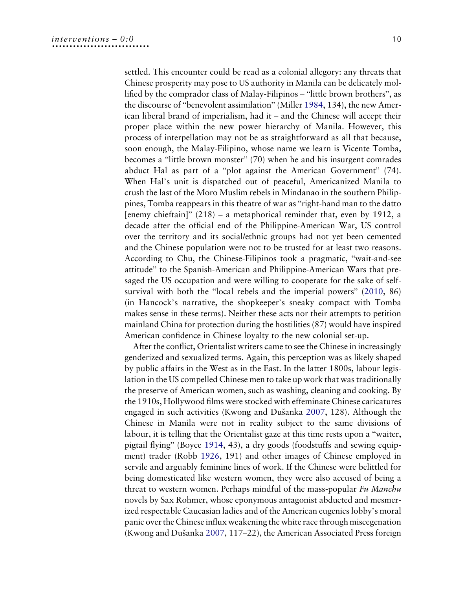<span id="page-10-1"></span>settled. This encounter could be read as a colonial allegory: any threats that Chinese prosperity may pose to US authority in Manila can be delicately mollified by the comprador class of Malay-Filipinos – "little brown brothers", as the discourse of "benevolent assimilation" (Miller [1984](#page-21-10), 134), the new American liberal brand of imperialism, had it – and the Chinese will accept their proper place within the new power hierarchy of Manila. However, this process of interpellation may not be as straightforward as all that because, soon enough, the Malay-Filipino, whose name we learn is Vicente Tomba, becomes a "little brown monster" (70) when he and his insurgent comrades abduct Hal as part of a "plot against the American Government" (74). When Hal's unit is dispatched out of peaceful, Americanized Manila to crush the last of the Moro Muslim rebels in Mindanao in the southern Philippines, Tomba reappears in this theatre of war as "right-hand man to the datto [enemy chieftain]" (218) – a metaphorical reminder that, even by 1912, a decade after the official end of the Philippine-American War, US control over the territory and its social/ethnic groups had not yet been cemented and the Chinese population were not to be trusted for at least two reasons. According to Chu, the Chinese-Filipinos took a pragmatic, "wait-and-see attitude" to the Spanish-American and Philippine-American Wars that presaged the US occupation and were willing to cooperate for the sake of selfsurvival with both the "local rebels and the imperial powers" [\(2010](#page-20-3), 86) (in Hancock's narrative, the shopkeeper's sneaky compact with Tomba makes sense in these terms). Neither these acts nor their attempts to petition mainland China for protection during the hostilities (87) would have inspired American confidence in Chinese loyalty to the new colonial set-up.

<span id="page-10-2"></span><span id="page-10-0"></span>After the conflict, Orientalist writers came to see the Chinese in increasingly genderized and sexualized terms. Again, this perception was as likely shaped by public affairs in the West as in the East. In the latter 1800s, labour legislation in the US compelled Chinese men to take up work that was traditionally the preserve of American women, such as washing, cleaning and cooking. By the 1910s, Hollywood films were stocked with effeminate Chinese caricatures engaged in such activities (Kwong and Dušanka [2007](#page-20-9), 128). Although the Chinese in Manila were not in reality subject to the same divisions of labour, it is telling that the Orientalist gaze at this time rests upon a "waiter, pigtail flying" (Boyce [1914,](#page-19-2) 43), a dry goods (foodstuffs and sewing equipment) trader (Robb [1926,](#page-21-11) 191) and other images of Chinese employed in servile and arguably feminine lines of work. If the Chinese were belittled for being domesticated like western women, they were also accused of being a threat to western women. Perhaps mindful of the mass-popular Fu Manchu novels by Sax Rohmer, whose eponymous antagonist abducted and mesmerized respectable Caucasian ladies and of the American eugenics lobby's moral panic over the Chinese influx weakening the white race through miscegenation (Kwong and Dušanka [2007,](#page-20-9) 117–22), the American Associated Press foreign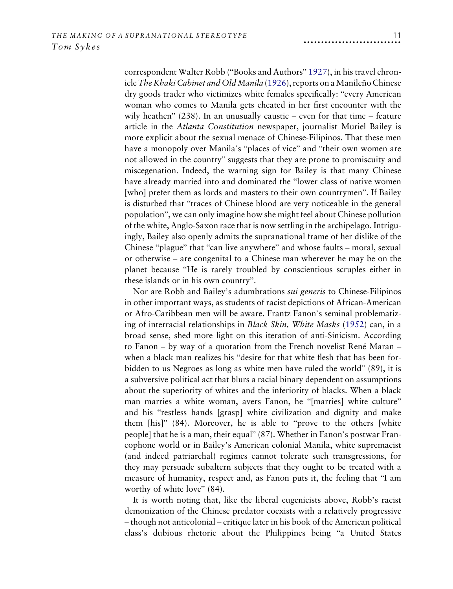<span id="page-11-0"></span>correspondent Walter Robb ("Books and Authors" [1927](#page-19-3)), in his travel chron-icle The Khaki Cabinet and Old Manila ([1926\)](#page-21-11), reports on a Manileño Chinese dry goods trader who victimizes white females specifically: "every American woman who comes to Manila gets cheated in her first encounter with the wily heathen"  $(238)$ . In an unusually caustic – even for that time – feature article in the Atlanta Constitution newspaper, journalist Muriel Bailey is more explicit about the sexual menace of Chinese-Filipinos. That these men have a monopoly over Manila's "places of vice" and "their own women are not allowed in the country" suggests that they are prone to promiscuity and miscegenation. Indeed, the warning sign for Bailey is that many Chinese have already married into and dominated the "lower class of native women [who] prefer them as lords and masters to their own countrymen". If Bailey is disturbed that "traces of Chinese blood are very noticeable in the general population", we can only imagine how she might feel about Chinese pollution of the white, Anglo-Saxon race that is now settling in the archipelago. Intriguingly, Bailey also openly admits the supranational frame of her dislike of the Chinese "plague" that "can live anywhere" and whose faults – moral, sexual or otherwise – are congenital to a Chinese man wherever he may be on the planet because "He is rarely troubled by conscientious scruples either in these islands or in his own country".

<span id="page-11-1"></span>Nor are Robb and Bailey's adumbrations sui generis to Chinese-Filipinos in other important ways, as students of racist depictions of African-American or Afro-Caribbean men will be aware. Frantz Fanon's seminal problematizing of interracial relationships in Black Skin, White Masks ([1952\)](#page-20-17) can, in a broad sense, shed more light on this iteration of anti-Sinicism. According to Fanon – by way of a quotation from the French novelist René Maran – when a black man realizes his "desire for that white flesh that has been forbidden to us Negroes as long as white men have ruled the world" (89), it is a subversive political act that blurs a racial binary dependent on assumptions about the superiority of whites and the inferiority of blacks. When a black man marries a white woman, avers Fanon, he "[marries] white culture" and his "restless hands [grasp] white civilization and dignity and make them [his]" (84). Moreover, he is able to "prove to the others [white people] that he is a man, their equal" (87). Whether in Fanon's postwar Francophone world or in Bailey's American colonial Manila, white supremacist (and indeed patriarchal) regimes cannot tolerate such transgressions, for they may persuade subaltern subjects that they ought to be treated with a measure of humanity, respect and, as Fanon puts it, the feeling that "I am worthy of white love" (84).

It is worth noting that, like the liberal eugenicists above, Robb's racist demonization of the Chinese predator coexists with a relatively progressive – though not anticolonial – critique later in his book of the American political class's dubious rhetoric about the Philippines being "a United States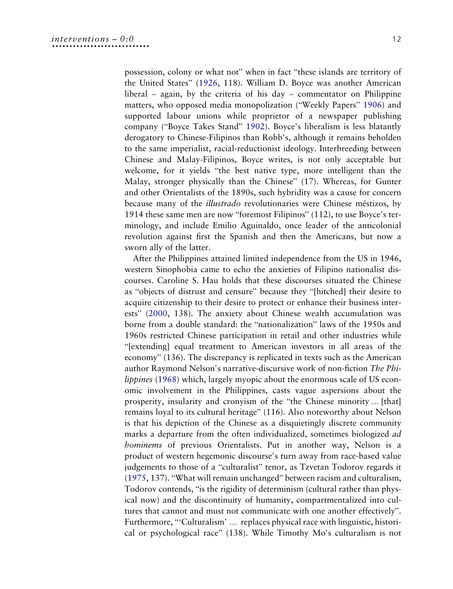<span id="page-12-3"></span><span id="page-12-0"></span>possession, colony or what not" when in fact "these islands are territory of the United States" [\(1926](#page-21-11), 118). William D. Boyce was another American liberal – again, by the criteria of his day – commentator on Philippine matters, who opposed media monopolization ("Weekly Papers" [1906\)](#page-21-12) and supported labour unions while proprietor of a newspaper publishing company ("Boyce Takes Stand" [1902](#page-19-4)). Boyce's liberalism is less blatantly derogatory to Chinese-Filipinos than Robb's, although it remains beholden to the same imperialist, racial-reductionist ideology. Interbreeding between Chinese and Malay-Filipinos, Boyce writes, is not only acceptable but welcome, for it yields "the best native type, more intelligent than the Malay, stronger physically than the Chinese" (17). Whereas, for Gunter and other Orientalists of the 1890s, such hybridity was a cause for concern because many of the illustrado revolutionaries were Chinese méstizos, by 1914 these same men are now "foremost Filipinos" (112), to use Boyce's terminology, and include Emilio Aguinaldo, once leader of the anticolonial revolution against first the Spanish and then the Americans, but now a sworn ally of the latter.

<span id="page-12-2"></span><span id="page-12-1"></span>After the Philippines attained limited independence from the US in 1946, western Sinophobia came to echo the anxieties of Filipino nationalist discourses. Caroline S. Hau holds that these discourses situated the Chinese as "objects of distrust and censure" because they "[hitched] their desire to acquire citizenship to their desire to protect or enhance their business interests" ([2000,](#page-20-6) 138). The anxiety about Chinese wealth accumulation was borne from a double standard: the "nationalization" laws of the 1950s and 1960s restricted Chinese participation in retail and other industries while "[extending] equal treatment to American investors in all areas of the economy" (136). The discrepancy is replicated in texts such as the American author Raymond Nelson's narrative-discursive work of non-fiction The Philippines ([1968](#page-21-13)) which, largely myopic about the enormous scale of US economic involvement in the Philippines, casts vague aspersions about the prosperity, insularity and cronyism of the "the Chinese minority … [that] remains loyal to its cultural heritage" (116). Also noteworthy about Nelson is that his depiction of the Chinese as a disquietingly discrete community marks a departure from the often individualized, sometimes biologized ad hominems of previous Orientalists. Put in another way, Nelson is a product of western hegemonic discourse's turn away from race-based value judgements to those of a "culturalist" tenor, as Tzvetan Todorov regards it ([1975,](#page-21-14) 137). "What will remain unchanged" between racism and culturalism, Todorov contends, "is the rigidity of determinism (cultural rather than physical now) and the discontinuity of humanity, compartmentalized into cultures that cannot and must not communicate with one another effectively". Furthermore, "'Culturalism' … replaces physical race with linguistic, historical or psychological race" (138). While Timothy Mo's culturalism is not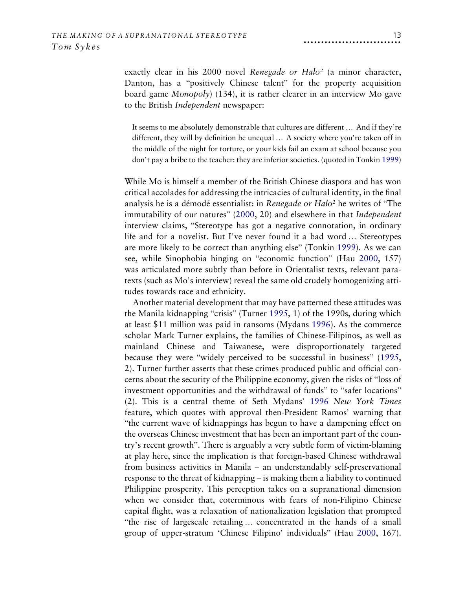exactly clear in his 2000 novel Renegade or Halo<sup>2</sup> (a minor character, Danton, has a "positively Chinese talent" for the property acquisition board game Monopoly) (134), it is rather clearer in an interview Mo gave to the British Independent newspaper:

It seems to me absolutely demonstrable that cultures are different … And if they're different, they will by definition be unequal … A society where you're taken off in the middle of the night for torture, or your kids fail an exam at school because you don't pay a bribe to the teacher: they are inferior societies. (quoted in Tonkin [1999\)](#page-21-15)

<span id="page-13-2"></span><span id="page-13-0"></span>While Mo is himself a member of the British Chinese diaspora and has won critical accolades for addressing the intricacies of cultural identity, in the final analysis he is a démodé essentialist: in Renegade or Halo<sup>2</sup> he writes of "The immutability of our natures" [\(2000](#page-21-16), 20) and elsewhere in that Independent interview claims, "Stereotype has got a negative connotation, in ordinary life and for a novelist. But I've never found it a bad word … Stereotypes are more likely to be correct than anything else" (Tonkin [1999\)](#page-21-15). As we can see, while Sinophobia hinging on "economic function" (Hau [2000](#page-20-6), 157) was articulated more subtly than before in Orientalist texts, relevant paratexts (such as Mo's interview) reveal the same old crudely homogenizing attitudes towards race and ethnicity.

<span id="page-13-3"></span><span id="page-13-1"></span>Another material development that may have patterned these attitudes was the Manila kidnapping "crisis" (Turner [1995,](#page-21-17) 1) of the 1990s, during which at least \$11 million was paid in ransoms (Mydans [1996](#page-21-18)). As the commerce scholar Mark Turner explains, the families of Chinese-Filipinos, as well as mainland Chinese and Taiwanese, were disproportionately targeted because they were "widely perceived to be successful in business" ([1995](#page-21-17), 2). Turner further asserts that these crimes produced public and official concerns about the security of the Philippine economy, given the risks of "loss of investment opportunities and the withdrawal of funds" to "safer locations" (2). This is a central theme of Seth Mydans' [1996](#page-21-18) New York Times feature, which quotes with approval then-President Ramos' warning that "the current wave of kidnappings has begun to have a dampening effect on the overseas Chinese investment that has been an important part of the country's recent growth". There is arguably a very subtle form of victim-blaming at play here, since the implication is that foreign-based Chinese withdrawal from business activities in Manila – an understandably self-preservational response to the threat of kidnapping – is making them a liability to continued Philippine prosperity. This perception takes on a supranational dimension when we consider that, coterminous with fears of non-Filipino Chinese capital flight, was a relaxation of nationalization legislation that prompted "the rise of largescale retailing … concentrated in the hands of a small group of upper-stratum 'Chinese Filipino' individuals" (Hau [2000,](#page-20-6) 167).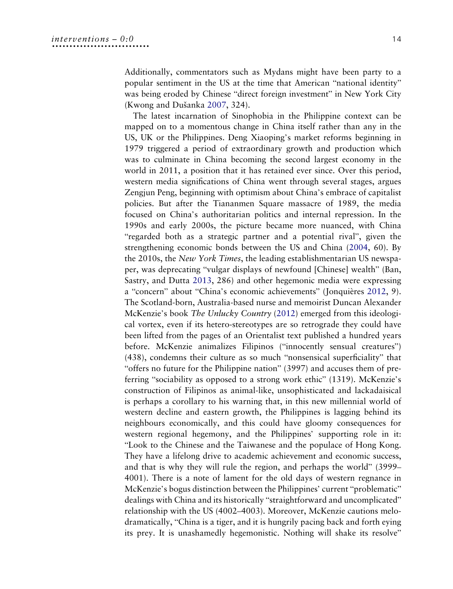Additionally, commentators such as Mydans might have been party to a popular sentiment in the US at the time that American "national identity" was being eroded by Chinese "direct foreign investment" in New York City (Kwong and Dušanka [2007,](#page-20-9) 324).

<span id="page-14-3"></span><span id="page-14-2"></span><span id="page-14-1"></span><span id="page-14-0"></span>The latest incarnation of Sinophobia in the Philippine context can be mapped on to a momentous change in China itself rather than any in the US, UK or the Philippines. Deng Xiaoping's market reforms beginning in 1979 triggered a period of extraordinary growth and production which was to culminate in China becoming the second largest economy in the world in 2011, a position that it has retained ever since. Over this period, western media significations of China went through several stages, argues Zengjun Peng, beginning with optimism about China's embrace of capitalist policies. But after the Tiananmen Square massacre of 1989, the media focused on China's authoritarian politics and internal repression. In the 1990s and early 2000s, the picture became more nuanced, with China "regarded both as a strategic partner and a potential rival", given the strengthening economic bonds between the US and China [\(2004](#page-21-19), 60). By the 2010s, the New York Times, the leading establishmentarian US newspaper, was deprecating "vulgar displays of newfound [Chinese] wealth" (Ban, Sastry, and Dutta [2013](#page-19-5), 286) and other hegemonic media were expressing a "concern" about "China's economic achievements" (Jonquières [2012,](#page-20-18) 9). The Scotland-born, Australia-based nurse and memoirist Duncan Alexander McKenzie's book The Unlucky Country [\(2012](#page-21-20)) emerged from this ideological vortex, even if its hetero-stereotypes are so retrograde they could have been lifted from the pages of an Orientalist text published a hundred years before. McKenzie animalizes Filipinos ("innocently sensual creatures") (438), condemns their culture as so much "nonsensical superficiality" that "offers no future for the Philippine nation" (3997) and accuses them of preferring "sociability as opposed to a strong work ethic" (1319). McKenzie's construction of Filipinos as animal-like, unsophisticated and lackadaisical is perhaps a corollary to his warning that, in this new millennial world of western decline and eastern growth, the Philippines is lagging behind its neighbours economically, and this could have gloomy consequences for western regional hegemony, and the Philippines' supporting role in it: "Look to the Chinese and the Taiwanese and the populace of Hong Kong. They have a lifelong drive to academic achievement and economic success, and that is why they will rule the region, and perhaps the world" (3999– 4001). There is a note of lament for the old days of western regnance in McKenzie's bogus distinction between the Philippines' current "problematic" dealings with China and its historically "straightforward and uncomplicated" relationship with the US (4002–4003). Moreover, McKenzie cautions melodramatically, "China is a tiger, and it is hungrily pacing back and forth eying its prey. It is unashamedly hegemonistic. Nothing will shake its resolve"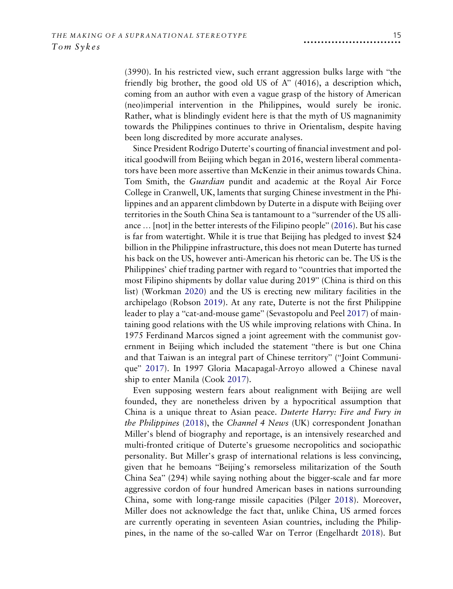(3990). In his restricted view, such errant aggression bulks large with "the friendly big brother, the good old US of A" (4016), a description which, coming from an author with even a vague grasp of the history of American (neo)imperial intervention in the Philippines, would surely be ironic. Rather, what is blindingly evident here is that the myth of US magnanimity towards the Philippines continues to thrive in Orientalism, despite having been long discredited by more accurate analyses.

<span id="page-15-7"></span>Since President Rodrigo Duterte's courting of financial investment and political goodwill from Beijing which began in 2016, western liberal commentators have been more assertive than McKenzie in their animus towards China. Tom Smith, the Guardian pundit and academic at the Royal Air Force College in Cranwell, UK, laments that surging Chinese investment in the Philippines and an apparent climbdown by Duterte in a dispute with Beijing over territories in the South China Sea is tantamount to a "surrender of the US alliance … [not] in the better interests of the Filipino people" [\(2016](#page-21-21)). But his case is far from watertight. While it is true that Beijing has pledged to invest \$24 billion in the Philippine infrastructure, this does not mean Duterte has turned his back on the US, however anti-American his rhetoric can be. The US is the Philippines' chief trading partner with regard to "countries that imported the most Filipino shipments by dollar value during 2019" (China is third on this list) (Workman [2020\)](#page-21-22) and the US is erecting new military facilities in the archipelago (Robson [2019\)](#page-21-23). At any rate, Duterte is not the first Philippine leader to play a "cat-and-mouse game" (Sevastopolu and Peel [2017\)](#page-21-24) of maintaining good relations with the US while improving relations with China. In 1975 Ferdinand Marcos signed a joint agreement with the communist government in Beijing which included the statement "there is but one China and that Taiwan is an integral part of Chinese territory" ("Joint Communique" [2017](#page-20-19)). In 1997 Gloria Macapagal-Arroyo allowed a Chinese naval ship to enter Manila (Cook [2017](#page-20-20)).

<span id="page-15-8"></span><span id="page-15-6"></span><span id="page-15-5"></span><span id="page-15-4"></span><span id="page-15-3"></span><span id="page-15-2"></span><span id="page-15-1"></span><span id="page-15-0"></span>Even supposing western fears about realignment with Beijing are well founded, they are nonetheless driven by a hypocritical assumption that China is a unique threat to Asian peace. Duterte Harry: Fire and Fury in the Philippines [\(2018](#page-21-25)), the Channel 4 News (UK) correspondent Jonathan Miller's blend of biography and reportage, is an intensively researched and multi-fronted critique of Duterte's gruesome necropolitics and sociopathic personality. But Miller's grasp of international relations is less convincing, given that he bemoans "Beijing's remorseless militarization of the South China Sea" (294) while saying nothing about the bigger-scale and far more aggressive cordon of four hundred American bases in nations surrounding China, some with long-range missile capacities (Pilger [2018](#page-21-26)). Moreover, Miller does not acknowledge the fact that, unlike China, US armed forces are currently operating in seventeen Asian countries, including the Philippines, in the name of the so-called War on Terror (Engelhardt [2018\)](#page-20-21). But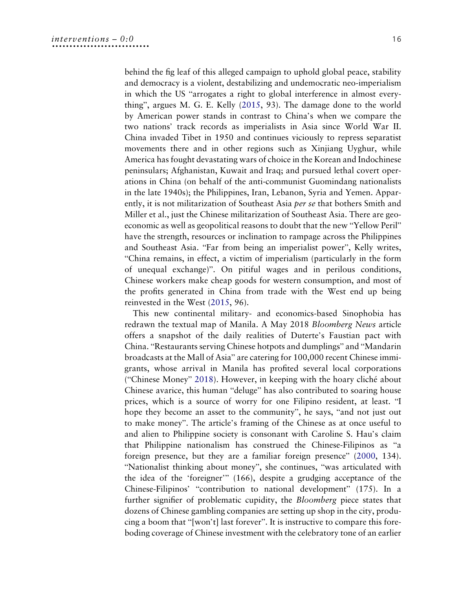behind the fig leaf of this alleged campaign to uphold global peace, stability and democracy is a violent, destabilizing and undemocratic neo-imperialism in which the US "arrogates a right to global interference in almost everything", argues M. G. E. Kelly [\(2015](#page-20-22), 93). The damage done to the world by American power stands in contrast to China's when we compare the two nations' track records as imperialists in Asia since World War II. China invaded Tibet in 1950 and continues viciously to repress separatist movements there and in other regions such as Xinjiang Uyghur, while America has fought devastating wars of choice in the Korean and Indochinese peninsulars; Afghanistan, Kuwait and Iraq; and pursued lethal covert operations in China (on behalf of the anti-communist Guomindang nationalists in the late 1940s); the Philippines, Iran, Lebanon, Syria and Yemen. Apparently, it is not militarization of Southeast Asia *per se* that bothers Smith and Miller et al., just the Chinese militarization of Southeast Asia. There are geoeconomic as well as geopolitical reasons to doubt that the new "Yellow Peril" have the strength, resources or inclination to rampage across the Philippines and Southeast Asia. "Far from being an imperialist power", Kelly writes, "China remains, in effect, a victim of imperialism (particularly in the form of unequal exchange)". On pitiful wages and in perilous conditions, Chinese workers make cheap goods for western consumption, and most of the profits generated in China from trade with the West end up being reinvested in the West [\(2015,](#page-20-22) 96).

<span id="page-16-1"></span><span id="page-16-0"></span>This new continental military- and economics-based Sinophobia has redrawn the textual map of Manila. A May 2018 Bloomberg News article offers a snapshot of the daily realities of Duterte's Faustian pact with China. "Restaurants serving Chinese hotpots and dumplings" and "Mandarin broadcasts at the Mall of Asia" are catering for 100,000 recent Chinese immigrants, whose arrival in Manila has profited several local corporations ("Chinese Money" [2018\)](#page-20-23). However, in keeping with the hoary cliché about Chinese avarice, this human "deluge" has also contributed to soaring house prices, which is a source of worry for one Filipino resident, at least. "I hope they become an asset to the community", he says, "and not just out to make money". The article's framing of the Chinese as at once useful to and alien to Philippine society is consonant with Caroline S. Hau's claim that Philippine nationalism has construed the Chinese-Filipinos as "a foreign presence, but they are a familiar foreign presence" ([2000](#page-20-6), 134). "Nationalist thinking about money", she continues, "was articulated with the idea of the 'foreigner'" (166), despite a grudging acceptance of the Chinese-Filipinos' "contribution to national development" (175). In a further signifier of problematic cupidity, the *Bloomberg* piece states that dozens of Chinese gambling companies are setting up shop in the city, producing a boom that "[won't] last forever". It is instructive to compare this foreboding coverage of Chinese investment with the celebratory tone of an earlier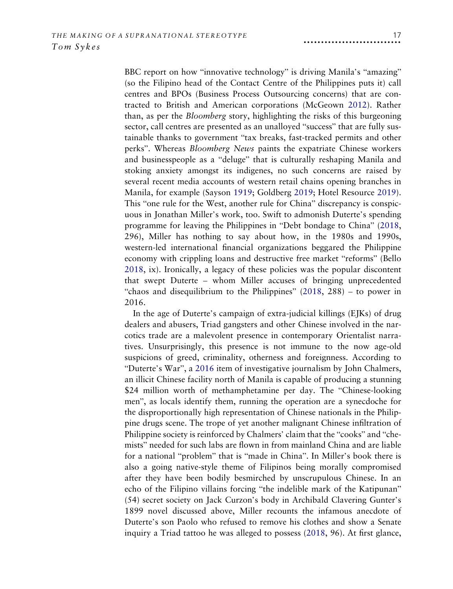<span id="page-17-3"></span><span id="page-17-2"></span>BBC report on how "innovative technology" is driving Manila's "amazing" (so the Filipino head of the Contact Centre of the Philippines puts it) call centres and BPOs (Business Process Outsourcing concerns) that are contracted to British and American corporations (McGeown [2012](#page-21-27)). Rather than, as per the Bloomberg story, highlighting the risks of this burgeoning sector, call centres are presented as an unalloyed "success" that are fully sustainable thanks to government "tax breaks, fast-tracked permits and other perks". Whereas Bloomberg News paints the expatriate Chinese workers and businesspeople as a "deluge" that is culturally reshaping Manila and stoking anxiety amongst its indigenes, no such concerns are raised by several recent media accounts of western retail chains opening branches in Manila, for example (Sayson [1919](#page-21-28); Goldberg [2019](#page-20-24); Hotel Resource [2019\)](#page-20-25). This "one rule for the West, another rule for China" discrepancy is conspicuous in Jonathan Miller's work, too. Swift to admonish Duterte's spending programme for leaving the Philippines in "Debt bondage to China" ([2018](#page-21-25), 296), Miller has nothing to say about how, in the 1980s and 1990s, western-led international financial organizations beggared the Philippine economy with crippling loans and destructive free market "reforms" (Bello [2018,](#page-19-6) ix). Ironically, a legacy of these policies was the popular discontent that swept Duterte – whom Miller accuses of bringing unprecedented "chaos and disequilibrium to the Philippines" [\(2018,](#page-21-25) 288) – to power in 2016.

<span id="page-17-1"></span><span id="page-17-0"></span>In the age of Duterte's campaign of extra-judicial killings (EJKs) of drug dealers and abusers, Triad gangsters and other Chinese involved in the narcotics trade are a malevolent presence in contemporary Orientalist narratives. Unsurprisingly, this presence is not immune to the now age-old suspicions of greed, criminality, otherness and foreignness. According to "Duterte's War", a [2016](#page-20-26) item of investigative journalism by John Chalmers, an illicit Chinese facility north of Manila is capable of producing a stunning \$24 million worth of methamphetamine per day. The "Chinese-looking men", as locals identify them, running the operation are a synecdoche for the disproportionally high representation of Chinese nationals in the Philippine drugs scene. The trope of yet another malignant Chinese infiltration of Philippine society is reinforced by Chalmers' claim that the "cooks" and "chemists" needed for such labs are flown in from mainland China and are liable for a national "problem" that is "made in China". In Miller's book there is also a going native-style theme of Filipinos being morally compromised after they have been bodily besmirched by unscrupulous Chinese. In an echo of the Filipino villains forcing "the indelible mark of the Katipunan" (54) secret society on Jack Curzon's body in Archibald Clavering Gunter's 1899 novel discussed above, Miller recounts the infamous anecdote of Duterte's son Paolo who refused to remove his clothes and show a Senate inquiry a Triad tattoo he was alleged to possess [\(2018,](#page-21-25) 96). At first glance,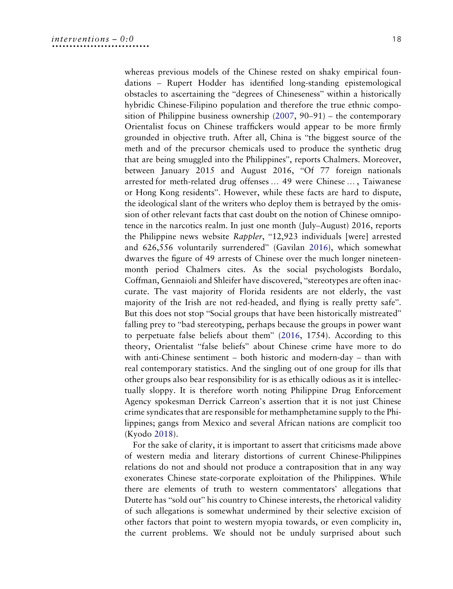<span id="page-18-2"></span><span id="page-18-1"></span>whereas previous models of the Chinese rested on shaky empirical foundations – Rupert Hodder has identified long-standing epistemological obstacles to ascertaining the "degrees of Chineseness" within a historically hybridic Chinese-Filipino population and therefore the true ethnic composition of Philippine business ownership ([2007,](#page-20-27) 90–91) – the contemporary Orientalist focus on Chinese traffickers would appear to be more firmly grounded in objective truth. After all, China is "the biggest source of the meth and of the precursor chemicals used to produce the synthetic drug that are being smuggled into the Philippines", reports Chalmers. Moreover, between January 2015 and August 2016, "Of 77 foreign nationals arrested for meth-related drug offenses … 49 were Chinese … , Taiwanese or Hong Kong residents". However, while these facts are hard to dispute, the ideological slant of the writers who deploy them is betrayed by the omission of other relevant facts that cast doubt on the notion of Chinese omnipotence in the narcotics realm. In just one month (July–August) 2016, reports the Philippine news website Rappler, "12,923 individuals [were] arrested and 626,556 voluntarily surrendered" (Gavilan [2016](#page-20-28)), which somewhat dwarves the figure of 49 arrests of Chinese over the much longer nineteenmonth period Chalmers cites. As the social psychologists Bordalo, Coffman, Gennaioli and Shleifer have discovered, "stereotypes are often inaccurate. The vast majority of Florida residents are not elderly, the vast majority of the Irish are not red-headed, and flying is really pretty safe". But this does not stop "Social groups that have been historically mistreated" falling prey to "bad stereotyping, perhaps because the groups in power want to perpetuate false beliefs about them" ([2016,](#page-19-7) 1754). According to this theory, Orientalist "false beliefs" about Chinese crime have more to do with anti-Chinese sentiment – both historic and modern-day – than with real contemporary statistics. And the singling out of one group for ills that other groups also bear responsibility for is as ethically odious as it is intellectually sloppy. It is therefore worth noting Philippine Drug Enforcement Agency spokesman Derrick Carreon's assertion that it is not just Chinese crime syndicates that are responsible for methamphetamine supply to the Philippines; gangs from Mexico and several African nations are complicit too (Kyodo [2018\)](#page-20-29).

<span id="page-18-3"></span><span id="page-18-0"></span>For the sake of clarity, it is important to assert that criticisms made above of western media and literary distortions of current Chinese-Philippines relations do not and should not produce a contraposition that in any way exonerates Chinese state-corporate exploitation of the Philippines. While there are elements of truth to western commentators' allegations that Duterte has "sold out" his country to Chinese interests, the rhetorical validity of such allegations is somewhat undermined by their selective excision of other factors that point to western myopia towards, or even complicity in, the current problems. We should not be unduly surprised about such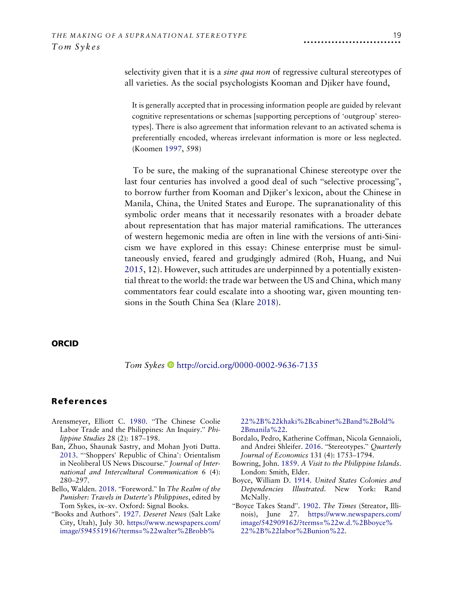selectivity given that it is a *sine qua non* of regressive cultural stereotypes of all varieties. As the social psychologists Kooman and Djiker have found,

It is generally accepted that in processing information people are guided by relevant cognitive representations or schemas [supporting perceptions of 'outgroup' stereotypes]. There is also agreement that information relevant to an activated schema is preferentially encoded, whereas irrelevant information is more or less neglected. (Koomen [1997](#page-20-30), 598)

<span id="page-19-10"></span><span id="page-19-9"></span>To be sure, the making of the supranational Chinese stereotype over the last four centuries has involved a good deal of such "selective processing", to borrow further from Kooman and Djiker's lexicon, about the Chinese in Manila, China, the United States and Europe. The supranationality of this symbolic order means that it necessarily resonates with a broader debate about representation that has major material ramifications. The utterances of western hegemonic media are often in line with the versions of anti-Sinicism we have explored in this essay: Chinese enterprise must be simultaneously envied, feared and grudgingly admired (Roh, Huang, and Nui [2015,](#page-21-29) 12). However, such attitudes are underpinned by a potentially existential threat to the world: the trade war between the US and China, which many commentators fear could escalate into a shooting war, given mounting tensions in the South China Sea (Klare [2018](#page-20-31)).

#### **ORCID**

<span id="page-19-8"></span>Tom Sykes <http://orcid.org/0000-0002-9636-7135>

#### References

- <span id="page-19-0"></span>Arensmeyer, Elliott C. [1980](#page-5-0). "The Chinese Coolie Labor Trade and the Philippines: An Inquiry." Philippine Studies 28 (2): 187–198.
- <span id="page-19-5"></span>Ban, Zhuo, Shaunak Sastry, and Mohan Jyoti Dutta. [2013.](#page-14-0) "'Shoppers' Republic of China': Orientalism in Neoliberal US News Discourse." Journal of International and Intercultural Communication 6 (4): 280–297.
- <span id="page-19-6"></span>Bello, Walden. [2018.](#page-17-0) "Foreword." In The Realm of the Punisher: Travels in Duterte's Philippines, edited by Tom Sykes, ix–xv. Oxford: Signal Books.
- <span id="page-19-3"></span>"Books and Authors". [1927](#page-11-0). Deseret News (Salt Lake City, Utah), July 30. [https://www.newspapers.com/](https://www.newspapers.com/image/594551916/?terms=%22walter%2Brobb%22%2B%22khaki%2Bcabinet%2Band%2Bold%2Bmanila%22) [image/594551916/?terms=%22walter%2Brobb%](https://www.newspapers.com/image/594551916/?terms=%22walter%2Brobb%22%2B%22khaki%2Bcabinet%2Band%2Bold%2Bmanila%22)

[22%2B%22khaki%2Bcabinet%2Band%2Bold%](https://www.newspapers.com/image/594551916/?terms=%22walter%2Brobb%22%2B%22khaki%2Bcabinet%2Band%2Bold%2Bmanila%22) [2Bmanila%22.](https://www.newspapers.com/image/594551916/?terms=%22walter%2Brobb%22%2B%22khaki%2Bcabinet%2Band%2Bold%2Bmanila%22)

- <span id="page-19-7"></span>Bordalo, Pedro, Katherine Coffman, Nicola Gennaioli, and Andrei Shleifer. [2016.](#page-18-0) "Stereotypes." Quarterly Journal of Economics 131 (4): 1753–1794.
- <span id="page-19-1"></span>Bowring, John. [1859.](#page-7-0) A Visit to the Philippine Islands. London: Smith, Elder.
- <span id="page-19-2"></span>Boyce, William D. [1914.](#page-10-0) United States Colonies and Dependencies Illustrated. New York: Rand McNally.
- <span id="page-19-4"></span>"Boyce Takes Stand". [1902.](#page-12-0) The Times (Streator, Illinois), June 27. [https://www.newspapers.com/](https://www.newspapers.com/image/542909162/?terms=%22w.d.%2Bboyce%22%2B%22labor%2Bunion%22) [image/542909162/?terms=%22w.d.%2Bboyce%](https://www.newspapers.com/image/542909162/?terms=%22w.d.%2Bboyce%22%2B%22labor%2Bunion%22) [22%2B%22labor%2Bunion%22.](https://www.newspapers.com/image/542909162/?terms=%22w.d.%2Bboyce%22%2B%22labor%2Bunion%22)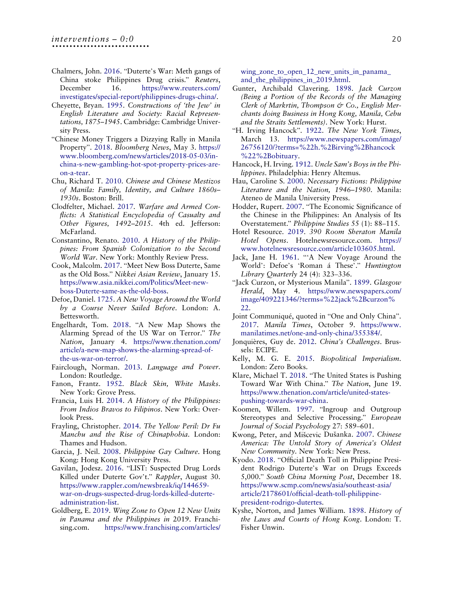- <span id="page-20-26"></span>Chalmers, John. [2016.](#page-17-1) "Duterte's War: Meth gangs of China stoke Philippines Drug crisis." Reuters, December 16. [https://www.reuters.com/](https://www.reuters.com/investigates/special-report/philippines-drugs-china/) [investigates/special-report/philippines-drugs-china/](https://www.reuters.com/investigates/special-report/philippines-drugs-china/).
- <span id="page-20-10"></span>Cheyette, Bryan. [1995](#page-6-0). Constructions of 'the Jew' in English Literature and Society: Racial Representations, 1875–1945. Cambridge: Cambridge University Press.
- <span id="page-20-23"></span>"Chinese Money Triggers a Dizzying Rally in Manila Property". [2018.](#page-16-0) Bloomberg News, May 3. [https://](https://www.bloomberg.com/news/articles/2018-05-03/in-china-s-new-gambling-hot-spot-property-prices-are-on-a-tear) [www.bloomberg.com/news/articles/2018-05-03/in](https://www.bloomberg.com/news/articles/2018-05-03/in-china-s-new-gambling-hot-spot-property-prices-are-on-a-tear)[china-s-new-gambling-hot-spot-property-prices-are](https://www.bloomberg.com/news/articles/2018-05-03/in-china-s-new-gambling-hot-spot-property-prices-are-on-a-tear)[on-a-tear](https://www.bloomberg.com/news/articles/2018-05-03/in-china-s-new-gambling-hot-spot-property-prices-are-on-a-tear).
- <span id="page-20-3"></span>Chu, Richard T. [2010.](#page-3-0) Chinese and Chinese Mestizos of Manila: Family, Identity, and Culture 1860s– 1930s. Boston: Brill.
- <span id="page-20-1"></span>Clodfelter, Michael. [2017.](#page-2-0) Warfare and Armed Conflicts: A Statistical Encyclopedia of Casualty and Other Figures, 1492–2015. 4th ed. Jefferson: McFarland.
- <span id="page-20-8"></span>Constantino, Renato. [2010](#page-5-1). A History of the Philippines: From Spanish Colonization to the Second World War. New York: Monthly Review Press.
- <span id="page-20-20"></span>Cook, Malcolm. [2017](#page-15-0). "Meet New Boss Duterte, Same as the Old Boss." Nikkei Asian Review, January 15. [https://www.asia.nikkei.com/Politics/Meet-new](https://www.asia.nikkei.com/Politics/Meet-new-boss-Duterte-same-as-the-old-boss)[boss-Duterte-same-as-the-old-boss](https://www.asia.nikkei.com/Politics/Meet-new-boss-Duterte-same-as-the-old-boss).
- <span id="page-20-4"></span>Defoe, Daniel. [1725.](#page-3-1) A New Voyage Around the World by a Course Never Sailed Before. London: A. Bettesworth.
- <span id="page-20-21"></span>Engelhardt, Tom. [2018.](#page-15-1) "A New Map Shows the Alarming Spread of the US War on Terror." The Nation, January 4. [https://www.thenation.com/](https://www.thenation.com/article/a-new-map-shows-the-alarming-spread-of-the-us-war-on-terror/) [article/a-new-map-shows-the-alarming-spread-of](https://www.thenation.com/article/a-new-map-shows-the-alarming-spread-of-the-us-war-on-terror/)[the-us-war-on-terror/.](https://www.thenation.com/article/a-new-map-shows-the-alarming-spread-of-the-us-war-on-terror/)
- <span id="page-20-14"></span>Fairclough, Norman. [2013](#page-9-0). Language and Power. London: Routledge.
- <span id="page-20-17"></span>Fanon, Frantz. [1952.](#page-11-1) Black Skin, White Masks. New York: Grove Press.
- <span id="page-20-0"></span>Francia, Luis H. [2014](#page-2-1). A History of the Philippines: From Indios Bravos to Filipinos. New York: Overlook Press.
- <span id="page-20-7"></span>Frayling, Christopher. [2014.](#page-4-0) The Yellow Peril: Dr Fu Manchu and the Rise of Chinaphobia. London: Thames and Hudson.
- <span id="page-20-2"></span>Garcia, J. Neil. [2008.](#page-2-2) Philippine Gay Culture. Hong Kong: Hong Kong University Press.
- <span id="page-20-28"></span>Gavilan, Jodesz. [2016](#page-18-1). "LIST: Suspected Drug Lords Killed under Duterte Gov't." Rappler, August 30. [https://www.rappler.com/newsbreak/iq/144659](https://www.rappler.com/newsbreak/iq/144659-war-on-drugs-suspected-drug-lords-killed-duterte-administration-list) [war-on-drugs-suspected-drug-lords-killed-duterte](https://www.rappler.com/newsbreak/iq/144659-war-on-drugs-suspected-drug-lords-killed-duterte-administration-list)[administration-list.](https://www.rappler.com/newsbreak/iq/144659-war-on-drugs-suspected-drug-lords-killed-duterte-administration-list)
- <span id="page-20-24"></span>Goldberg, E. [2019.](#page-17-2) Wing Zone to Open 12 New Units in Panama and the Philippines in 2019. Franchising.com. [https://www.franchising.com/articles/](https://www.franchising.com/articles/wing_zone_to_open_12_new_units_in_panama_and_the_philippines_in_2019.html)

[wing\\_zone\\_to\\_open\\_12\\_new\\_units\\_in\\_panama\\_](https://www.franchising.com/articles/wing_zone_to_open_12_new_units_in_panama_and_the_philippines_in_2019.html) [and\\_the\\_philippines\\_in\\_2019.html](https://www.franchising.com/articles/wing_zone_to_open_12_new_units_in_panama_and_the_philippines_in_2019.html).

- <span id="page-20-12"></span>Gunter, Archibald Clavering. [1898.](#page-8-0) Jack Curzon (Being a Portion of the Records of the Managing Clerk of Markrtin, Thompson & Co., English Merchants doing Business in Hong Kong, Manila, Cebu and the Straits Settlements). New York: Hurst.
- <span id="page-20-15"></span>"H. Irving Hancock". [1922.](#page-9-1) The New York Times, March 13. [https://www.newspapers.com/image/](https://www.newspapers.com/image/26756120/?terms=%22h.%2Birving%2Bhancock%22%2Bobituary) [26756120/?terms=%22h.%2Birving%2Bhancock](https://www.newspapers.com/image/26756120/?terms=%22h.%2Birving%2Bhancock%22%2Bobituary) [%22%2Bobituary.](https://www.newspapers.com/image/26756120/?terms=%22h.%2Birving%2Bhancock%22%2Bobituary)
- <span id="page-20-16"></span>Hancock, H. Irving. [1912](#page-9-2). Uncle Sam's Boys in the Philippines. Philadelphia: Henry Altemus.
- <span id="page-20-6"></span>Hau, Caroline S. [2000.](#page-4-1) Necessary Fictions: Philippine Literature and the Nation, 1946–1980. Manila: Ateneo de Manila University Press.
- <span id="page-20-27"></span>Hodder, Rupert. [2007.](#page-18-2) "The Economic Significance of the Chinese in the Philippines: An Analysis of Its Overstatement." Philippine Studies 55 (1): 88–115.
- <span id="page-20-25"></span>Hotel Resource. [2019](#page-17-2). 390 Room Sheraton Manila Hotel Opens. Hotelnewsresource.com. [https://](https://www.hotelnewsresource.com/article103605.html) [www.hotelnewsresource.com/article103605.html](https://www.hotelnewsresource.com/article103605.html).
- <span id="page-20-5"></span>Jack, Jane H. [1961.](#page-3-2) "'A New Voyage Around the World': Defoe's 'Roman á These'." Huntington Library Quarterly 24 (4): 323–336.
- <span id="page-20-13"></span>"Jack Curzon, or Mysterious Manila". [1899](#page-9-3). Glasgow Herald, May 4. [https://www.newspapers.com/](https://www.newspapers.com/image/409221346/?terms=%22jack%2Bcurzon%22) [image/409221346/?terms=%22jack%2Bcurzon%](https://www.newspapers.com/image/409221346/?terms=%22jack%2Bcurzon%22) [22](https://www.newspapers.com/image/409221346/?terms=%22jack%2Bcurzon%22).
- <span id="page-20-19"></span>Joint Communiqué, quoted in "One and Only China". [2017.](#page-15-2) Manila Times, October 9. [https://www.](https://www.manilatimes.net/one-and-only-china/355384/) [manilatimes.net/one-and-only-china/355384/.](https://www.manilatimes.net/one-and-only-china/355384/)
- <span id="page-20-18"></span>Jonquières, Guy de. [2012](#page-14-1). China's Challenges. Brussels: ECIPE.
- <span id="page-20-22"></span>Kelly, M. G. E. [2015.](#page-16-1) Biopolitical Imperialism. London: Zero Books.
- <span id="page-20-31"></span>Klare, Michael T. [2018](#page-19-8). "The United States is Pushing Toward War With China." The Nation, June 19. [https://www.thenation.com/article/united-states](https://www.thenation.com/article/united-states-pushing-towards-war-china)[pushing-towards-war-china.](https://www.thenation.com/article/united-states-pushing-towards-war-china)
- <span id="page-20-30"></span>Koomen, Willem. [1997](#page-19-9). "Ingroup and Outgroup Stereotypes and Selective Processing." European Journal of Social Psychology 27: 589–601.
- <span id="page-20-9"></span>Kwong, Peter, and Mišcevic Dušanka. [2007](#page-5-2). Chinese America: The Untold Story of America's Oldest New Community. New York: New Press.
- <span id="page-20-29"></span>Kyodo. [2018](#page-18-3). "Official Death Toll in Philippine President Rodrigo Duterte's War on Drugs Exceeds 5,000." South China Morning Post, December 18. [https://www.scmp.com/news/asia/southeast-asia/](https://www.scmp.com/news/asia/southeast-asia/article/2178601/official-death-toll-philippine-president-rodrigo-dutertes) article/2178601/offi[cial-death-toll-philippine](https://www.scmp.com/news/asia/southeast-asia/article/2178601/official-death-toll-philippine-president-rodrigo-dutertes)[president-rodrigo-dutertes.](https://www.scmp.com/news/asia/southeast-asia/article/2178601/official-death-toll-philippine-president-rodrigo-dutertes)
- <span id="page-20-11"></span>Kyshe, Norton, and James William. [1898.](#page-7-1) History of the Laws and Courts of Hong Kong. London: T. Fisher Unwin.